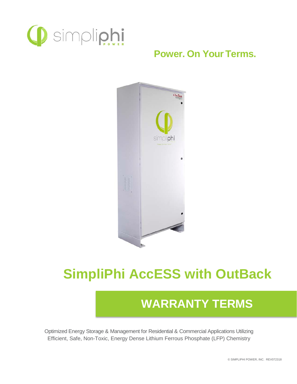

## **Power. On Your Terms.**



# **SimpliPhi AccESS with OutBack**

# **WARRANTY TERMS**

Optimized Energy Storage & Management for Residential & Commercial Applications Utilizing Efficient, Safe, Non-Toxic, Energy Dense Lithium Ferrous Phosphate (LFP) Chemistry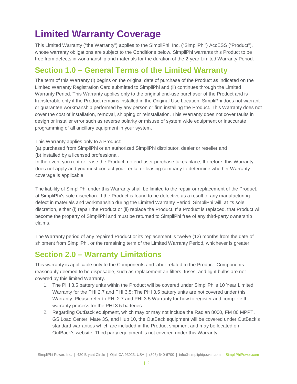# **Limited Warranty Coverage**

This Limited Warranty ("the Warranty") applies to the SimpliPhi, Inc. ("SimpliPhi") AccESS ("Product"), whose warranty obligations are subject to the Conditions below. SimpliPhi warrants this Product to be free from defects in workmanship and materials for the duration of the 2-year Limited Warranty Period.

#### **Section 1.0 – General Terms of the Limited Warranty**

The term of this Warranty (i) begins on the original date of purchase of the Product as indicated on the Limited Warranty Registration Card submitted to SimpliPhi and (ii) continues through the Limited Warranty Period. This Warranty applies only to the original end-use purchaser of the Product and is transferable only if the Product remains installed in the Original Use Location. SimpliPhi does not warrant or guarantee workmanship performed by any person or firm installing the Product. This Warranty does not cover the cost of installation, removal, shipping or reinstallation. This Warranty does not cover faults in design or installer error such as reverse polarity or misuse of system wide equipment or inaccurate programming of all ancillary equipment in your system.

This Warranty applies only to a Product:

- (a) purchased from SimpliPhi or an authorized SimpliPhi distributor, dealer or reseller and
- (b) installed by a licensed professional.

In the event you rent or lease the Product, no end-user purchase takes place; therefore, this Warranty does not apply and you must contact your rental or leasing company to determine whether Warranty coverage is applicable.

The liability of SimpliPhi under this Warranty shall be limited to the repair or replacement of the Product, at SimpliPhi's sole discretion. If the Product is found to be defective as a result of any manufacturing defect in materials and workmanship during the Limited Warranty Period, SimpliPhi will, at its sole discretion, either (i) repair the Product or (ii) replace the Product. If a Product is replaced, that Product will become the property of SimpliPhi and must be returned to SimpliPhi free of any third-party ownership claims.

The Warranty period of any repaired Product or its replacement is twelve (12) months from the date of shipment from SimpliPhi, or the remaining term of the Limited Warranty Period, whichever is greater.

#### **Section 2.0 – Warranty Limitations**

This warranty is applicable only to the Components and labor related to the Product. Components reasonably deemed to be disposable, such as replacement air filters, fuses, and light bulbs are not covered by this limited Warranty.

- 1. The PHI 3.5 battery units within the Product will be covered under SimpliPhi's 10 Year Limited Warranty for the PHI 2.7 and PHI 3.5; The PHI 3.5 battery units are not covered under this Warranty. Please refer to PHI 2.7 and PHI 3.5 Warranty for how to register and complete the warranty process for the PHI 3.5 batteries.
- 2. Regarding OutBack equipment, which may or may not include the Radian 8000, FM 80 MPPT, GS Load Center, Mate 3S, and Hub 10, the OutBack equipment will be covered under OutBack's standard warranties which are included in the Product shipment and may be located on OutBack's website; Third party equipment is not covered under this Warranty.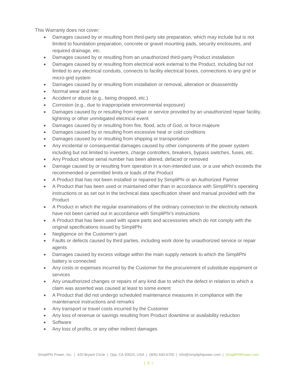This Warranty does not cover:

- Damages caused by or resulting from third-party site preparation, which may include but is not limited to foundation preparation, concrete or gravel mounting pads, security enclosures, and required drainage, etc.
- Damages caused by or resulting from an unauthorized third-party Product installation
- Damages caused by or resulting from electrical work external to the Product, including but not limited to any electrical conduits, connects to facility electrical boxes, connections to any grid or micro-grid system
- Damages caused by or resulting from installation or removal, alteration or disassembly
- Normal wear and tear
- Accident or abuse (e.g., being dropped, etc.)
- Corrosion (e.g., due to inappropriate environmental exposure)
- Damages caused by or resulting from repair or service provided by an unauthorized repair facility, lightning or other unmitigated electrical event
- Damages caused by or resulting from fire, flood, acts of God, or force majeure
- Damages caused by or resulting from excessive heat or cold conditions
- Damages caused by or resulting from shipping or transportation
- Any incidental or consequential damages caused by other components of the power system including but not limited to inverters, charge controllers, breakers, bypass switches, fuses, etc.
- Any Product whose serial number has been altered, defaced or removed
- Damage caused by or resulting from operation in a non-intended use, or a use which exceeds the recommended or permitted limits or loads of the Product
- A Product that has not been installed or repaired by SimpliPhi or an Authorized Partner
- A Product that has been used or maintained other than in accordance with SimpliPhi's operating instructions or as set out in the technical data specification sheet and manual provided with the Product
- A Product in which the regular examinations of the ordinary connection to the electricity network have not been carried out in accordance with SimpliPhi's instructions
- A Product that has been used with spare parts and accessories which do not comply with the original specifications issued by SimpliPhi
- Negligence on the Customer's part
- Faults or defects caused by third parties, including work done by unauthorized service or repair agents
- Damages caused by excess voltage within the main supply network to which the SimpliPhi battery is connected
- Any costs or expenses incurred by the Customer for the procurement of substitute equipment or services
- Any unauthorized changes or repairs of any kind due to which the defect in relation to which a claim was asserted was caused at least to some extent
- A Product that did not undergo scheduled maintenance measures in compliance with the maintenance instructions and remarks
- Any transport or travel costs incurred by the Customer
- Any loss of revenue or savings resulting from Product downtime or availability reduction
- Software
- Any loss of profits, or any other indirect damages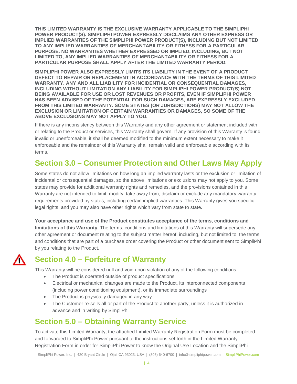**THIS LIMITED WARRANTY IS THE EXCLUSIVE WARRANTY APPLICABLE TO THE SIMPLIPHI POWER PRODUCT(S). SIMPLIPHI POWER EXPRESSLY DISCLAIMS ANY OTHER EXPRESS OR IMPLIED WARRANTIES OF THE SIMPLIPHI POWER PRODUCT(S), INCLUDING BUT NOT LIMITED TO ANY IMPLIED WARRANTIES OF MERCHANTABILITY OR FITNESS FOR A PARTICULAR PURPOSE. NO WARRANTIES WHETHER EXPRESSED OR IMPLIED, INCLUDING, BUT NOT LIMITED TO, ANY IMPLIED WARRANTIES OF MERCHANTABILITY OR FITNESS FOR A PARTICULAR PURPOSE SHALL APPLY AFTER THE LIMITED WARRANTY PERIOD.**

**SIMPLIPHI POWER ALSO EXPRESSLY LIMITS ITS LIABILITY IN THE EVENT OF A PRODUCT DEFECT TO REPAIR OR REPLACEMENT IN ACCORDANCE WITH THE TERMS OF THIS LIMITED WARRANTY. ANY AND ALL LIABILITY FOR INCIDENTIAL OR CONSEQUENTIAL DAMAGES, INCLUDING WITHOUT LIMITATION ANY LIABILITY FOR SIMPLIPHI POWER PRODUCT(S) NOT BEING AVAILABLE FOR USE OR LOST REVENUES OR PROFITS, EVEN IF SIMPLIPHI POWER HAS BEEN ADVISED OF THE POTENTIAL FOR SUCH DAMAGES, ARE EXPRESSLY EXCLUDED FROM THIS LIMITED WARRANTY. SOME STATES (OR JURISDICTIONS) MAY NOT ALLOW THE EXCLUSION OR LIMITATION OF CERTAIN WARRANTIES OR DAMAGES, SO SOME OF THE ABOVE EXCLUSIONS MAY NOT APPLY TO YOU.**

If there is any inconsistency between this Warranty and any other agreement or statement included with or relating to the Product or services, this Warranty shall govern. If any provision of this Warranty is found invalid or unenforceable, it shall be deemed modified to the minimum extent necessary to make it enforceable and the remainder of this Warranty shall remain valid and enforceable according with its terms.

#### **Section 3.0 – Consumer Protection and Other Laws May Apply**

Some states do not allow limitations on how long an implied warranty lasts or the exclusion or limitation of incidental or consequential damages, so the above limitations or exclusions may not apply to you. Some states may provide for additional warranty rights and remedies, and the provisions contained in this Warranty are not intended to limit, modify, take away from, disclaim or exclude any mandatory warranty requirements provided by states, including certain implied warranties. This Warranty gives you specific legal rights, and you may also have other rights which vary from state to state.

**Your acceptance and use of the Product constitutes acceptance of the terms, conditions and limitations of this Warranty.** The terms, conditions and limitations of this Warranty will supersede any other agreement or document relating to the subject matter hereof, including, but not limited to, the terms and conditions that are part of a purchase order covering the Product or other document sent to SimpliPhi by you relating to the Product.

**Section 4.0 – Forfeiture of Warranty**

This Warranty will be considered null and void upon violation of any of the following conditions:

- The Product is operated outside of product specifications
- Electrical or mechanical changes are made to the Product, its interconnected components (including power conditioning equipment), or its immediate surroundings
- The Product is physically damaged in any way
- The Customer re-sells all or part of the Product to another party, unless it is authorized in advance and in writing by SimpliPhi

### **Section 5.0 – Obtaining Warranty Service**

To activate this Limited Warranty, the attached Limited Warranty Registration Form must be completed and forwarded to SimpliPhi Power pursuant to the instructions set forth in the Limited Warranty Registration Form in order for SimpliPhi Power to know the Original Use Location and the SimpliPhi

SimpliPhi Power, Inc. | 420 Bryant Circle | Ojai, CA 93023, USA | (805) 640-6700 | info@simpliphipower.com | SimpliPhiPower.com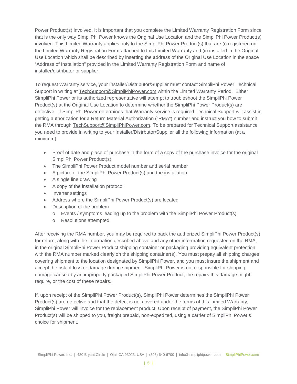Power Product(s) involved. It is important that you complete the Limited Warranty Registration Form since that is the only way SimpliPhi Power knows the Original Use Location and the SimpliPhi Power Product(s) involved. This Limited Warranty applies only to the SimpliPhi Power Product(s) that are (i) registered on the Limited Warranty Registration Form attached to this Limited Warranty and (ii) installed in the Original Use Location which shall be described by inserting the address of the Original Use Location in the space "Address of Installation" provided in the Limited Warranty Registration Form and name of installer/distributor or supplier.

To request Warranty service, your Installer/Distributor/Supplier must contact SimpliPhi Power Technical Support in writing at [TechSupport@SimpliPhiPower.com](mailto:TechSupport@SimpliPhiPower.com) within the Limited Warranty Period. Either SimpliPhi Power or its authorized representative will attempt to troubleshoot the SimpliPhi Power Product(s) at the Original Use Location to determine whether the SimpliPhi Power Product(s) are defective. If SimpliPhi Power determines that Warranty service is required Technical Support will assist in getting authorization for a Return Material Authorization ("RMA") number and instruct you how to submit the RMA through [TechSupport@SimpliPhiPower.com.](mailto:TechSupport@SimpliPhiPower.com) To be prepared for Technical Support assistance you need to provide in writing to your Installer/Distrbutor/Supplier all the following information (at a minimum):

- Proof of date and place of purchase in the form of a copy of the purchase invoice for the original SimpliPhi Power Product(s)
- The SimpliPhi Power Product model number and serial number
- A picture of the SimpliPhi Power Product(s) and the installation
- A single line drawing
- A copy of the installation protocol
- Inverter settings
- Address where the SimpliPhi Power Product(s) are located
- Description of the problem
	- o Events / symptoms leading up to the problem with the SimpliPhi Power Product(s)
	- o Resolutions attempted

After receiving the RMA number, you may be required to pack the authorized SimpliPhi Power Product(s) for return, along with the information described above and any other information requested on the RMA, in the original SimpliPhi Power Product shipping container or packaging providing equivalent protection with the RMA number marked clearly on the shipping container(s). You must prepay all shipping charges covering shipment to the location designated by SimpliPhi Power, and you must insure the shipment and accept the risk of loss or damage during shipment. SimpliPhi Power is not responsible for shipping damage caused by an improperly packaged SimpliPhi Power Product, the repairs this damage might require, or the cost of these repairs.

If, upon receipt of the SimpliPhi Power Product(s), SimpliPhi Power determines the SimpliPhi Power Product(s) are defective and that the defect is not covered under the terms of this Limited Warranty, SimpliPhi Power will invoice for the replacement product. Upon receipt of payment, the SimpliPhi Power Product(s) will be shipped to you, freight prepaid, non-expedited, using a carrier of SimpliPhi Power's choice for shipment.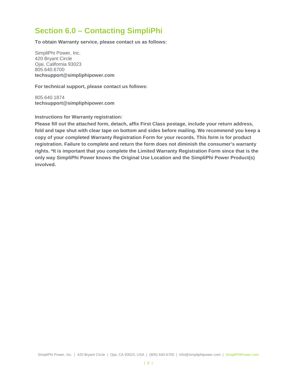#### **Section 6.0 – Contacting SimpliPhi**

**To obtain Warranty service, please contact us as follows:**

SimpliPhi Power, Inc. 420 Bryant Circle Ojai, California 93023 805.640.6700 **techsupport@simpliphipower.com**

**For technical support, please contact us follows:**

805.640.1874 **[techsupport@simpliphipower.com](mailto:techsupport@simpliphipower.com)**

**Instructions for Warranty registration:**

**Please fill out the attached form, detach, affix First Class postage, include your return address, fold and tape shut with clear tape on bottom and sides before mailing. We recommend you keep a copy of your completed Warranty Registration Form for your records. This form is for product registration. Failure to complete and return the form does not diminish the consumer's warranty rights. \*It is important that you complete the Limited Warranty Registration Form since that is the only way SimpliPhi Power knows the Original Use Location and the SimpliPhi Power Product(s) involved.**